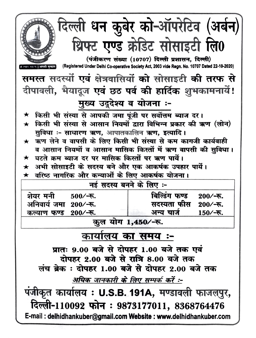|                                                                                        | दिल्ली धन कुबेर को-ऑपरेटिव (अर्बन)                                                            |  |  |  |  |  |
|----------------------------------------------------------------------------------------|-----------------------------------------------------------------------------------------------|--|--|--|--|--|
| $u_0 \star u_1$                                                                        | थ्रिफ्ट एण्ड क्रेडिट सोसाइटी लि0                                                              |  |  |  |  |  |
|                                                                                        | (पंजीकरण संख्या (10707) दिल्ली प्रशासन, दिल्ली)                                               |  |  |  |  |  |
|                                                                                        | (Registered Under Delhi Co-operative Society Act, 2003 vide Regn. No. 10707 Dated 22-10-2020) |  |  |  |  |  |
|                                                                                        | समस्त सदस्यों एवं क्षेत्रवासियों को सोसाइटी की तरफ से                                         |  |  |  |  |  |
|                                                                                        | दीपावली, भैयादूज एवं छठ पर्व की हार्दिक शुभकामनायें!                                          |  |  |  |  |  |
| मुख्य उदुदेश्य व योजना :-                                                              |                                                                                               |  |  |  |  |  |
| किसी भी संस्था से आपकी जमा पूंजी पर सर्वोत्तम ब्याज दर।<br>$\bigstar$                  |                                                                                               |  |  |  |  |  |
| $\bigstar$                                                                             | किसी भी संस्था से आसान नियमों द्वारा विभिन्न प्रकार की ऋण (लोन)                               |  |  |  |  |  |
| सुविधा ः- साधारण ऋण, आपातकालिन ऋण, इत्यादि ।                                           |                                                                                               |  |  |  |  |  |
| ★ ऋण लेने व वापसी के लिए किसी भी संस्था से कम कागजी कार्यवाही                          |                                                                                               |  |  |  |  |  |
|                                                                                        | व आसान नियमों व आसान मासिक किस्तों में ऋण वापसी की सुविधा।                                    |  |  |  |  |  |
| घटते क्रम ब्याज दर पर मासिक किस्तों पर ऋण पायें।<br>$\bigstar$                         |                                                                                               |  |  |  |  |  |
|                                                                                        | अभी सोसाइटी के सदस्य बने और एक आकर्षक उपहार पार्ये।                                           |  |  |  |  |  |
| वरिष्ठ नागरिक और कन्याओं के लिए आकर्षक योजना।<br>$\bigstar$<br>नई सदस्य बनने के लिए :- |                                                                                               |  |  |  |  |  |
|                                                                                        |                                                                                               |  |  |  |  |  |
| शेयर मनी 500⁄-रू.                                                                      | बिल्डिंग फण्ड<br>$200/-$ रू.                                                                  |  |  |  |  |  |
| अनिवार्य जमा 200⁄-रू.                                                                  | सदस्यता फीस<br>$200/-$ रू                                                                     |  |  |  |  |  |
| कल्याण फण्ड 200⁄-रू.                                                                   | अन्य चार्ज<br>$150/-$ रू.                                                                     |  |  |  |  |  |
|                                                                                        | कुल योग 1,450/-रू.                                                                            |  |  |  |  |  |
| कार्यालय का समय :-                                                                     |                                                                                               |  |  |  |  |  |
| प्रातः 9.00 बजे से दोपहर 1.00 बजे तक एवं                                               |                                                                                               |  |  |  |  |  |
| दोपहर 2.00 बजे से रात्रि 8.00 बजे तक                                                   |                                                                                               |  |  |  |  |  |
| लंच ब्रेक : दोपहर 1.00 बजे से दोपहर 2.00 बजे तक                                        |                                                                                               |  |  |  |  |  |
| अधिक जानकारी के लिए सम्पर्क करें :-                                                    |                                                                                               |  |  |  |  |  |
| पंजीकृत कार्यालय : U.S.B. 191A, मण्डावली फाजलपुर,                                      |                                                                                               |  |  |  |  |  |
|                                                                                        | दिल्ली-110092 फोन: 9873177011, 8368764476                                                     |  |  |  |  |  |
| E-mail: delhidhankuber@gmail.com Website: www.delhidhankuber.com                       |                                                                                               |  |  |  |  |  |